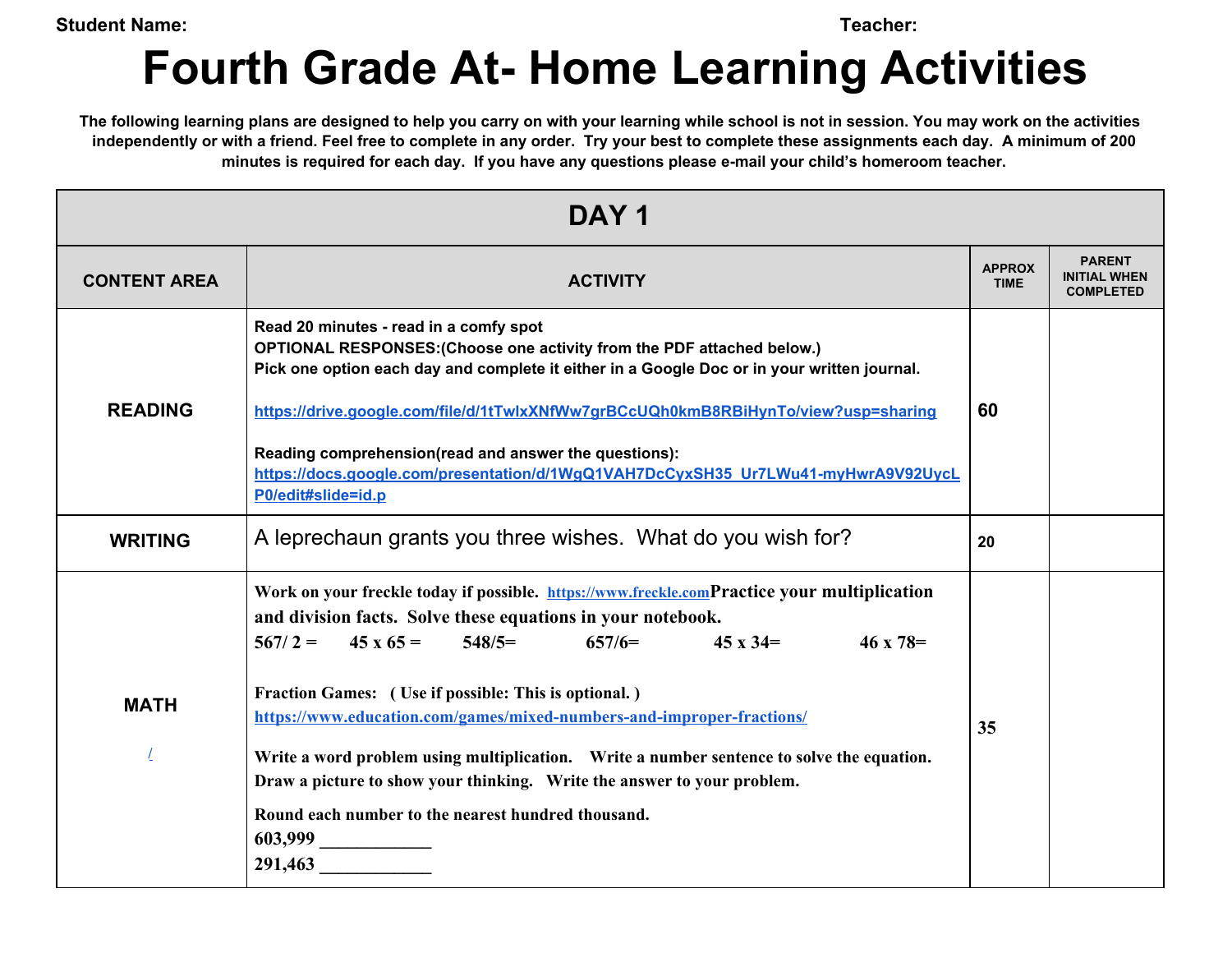**Student Name: Teacher:**

## **Fourth Grade At- Home Learning Activities**

The following learning plans are designed to help you carry on with your learning while school is not in session. You may work on the activities independently or with a friend. Feel free to complete in any order. Try your best to complete these assignments each day. A minimum of 200 **minutes is required for each day. If you have any questions please e-mail your child's homeroom teacher.**

| DAY <sub>1</sub>    |                                                                                                                                                                                                                                                                                                                                                                                                                                                                                                                                                                                                                                         |                              |                                                          |
|---------------------|-----------------------------------------------------------------------------------------------------------------------------------------------------------------------------------------------------------------------------------------------------------------------------------------------------------------------------------------------------------------------------------------------------------------------------------------------------------------------------------------------------------------------------------------------------------------------------------------------------------------------------------------|------------------------------|----------------------------------------------------------|
| <b>CONTENT AREA</b> | <b>ACTIVITY</b>                                                                                                                                                                                                                                                                                                                                                                                                                                                                                                                                                                                                                         | <b>APPROX</b><br><b>TIME</b> | <b>PARENT</b><br><b>INITIAL WHEN</b><br><b>COMPLETED</b> |
| <b>READING</b>      | Read 20 minutes - read in a comfy spot<br>OPTIONAL RESPONSES: (Choose one activity from the PDF attached below.)<br>Pick one option each day and complete it either in a Google Doc or in your written journal.<br>https://drive.google.com/file/d/1tTwlxXNfWw7grBCcUQh0kmB8RBiHynTo/view?usp=sharing<br>Reading comprehension(read and answer the questions):<br>https://docs.google.com/presentation/d/1WgQ1VAH7DcCyxSH35 Ur7LWu41-myHwrA9V92UycL<br>P0/edit#slide=id.p                                                                                                                                                               | 60                           |                                                          |
| <b>WRITING</b>      | A leprechaun grants you three wishes. What do you wish for?                                                                                                                                                                                                                                                                                                                                                                                                                                                                                                                                                                             | 20                           |                                                          |
| <b>MATH</b>         | Work on your freckle today if possible. https://www.freckle.comPractice your multiplication<br>and division facts. Solve these equations in your notebook.<br>$567/2 = 45 \times 65 = 548/5 =$<br>$657/6=$<br>$45 \times 34 =$<br>$46 \times 78 =$<br>Fraction Games: (Use if possible: This is optional.)<br>https://www.education.com/games/mixed-numbers-and-improper-fractions/<br>Write a word problem using multiplication. Write a number sentence to solve the equation.<br>Draw a picture to show your thinking. Write the answer to your problem.<br>Round each number to the nearest hundred thousand.<br>603,999<br>291,463 | 35                           |                                                          |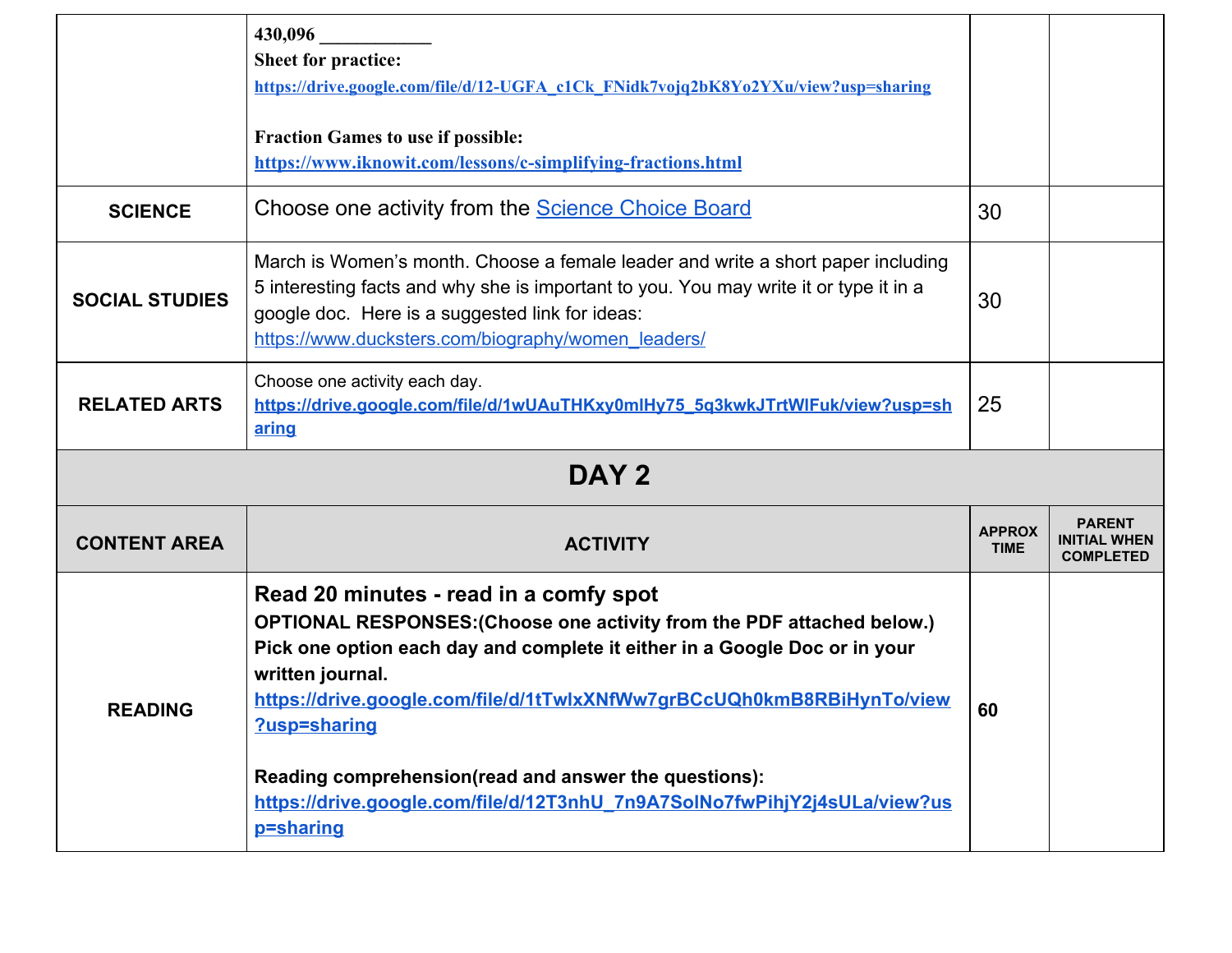|                       | 430,096<br><b>Sheet for practice:</b><br>https://drive.google.com/file/d/12-UGFA_c1Ck_FNidk7vojq2bK8Yo2YXu/view?usp=sharing                                                                                                                                                                                                                                                                                                                                     |                              |                                                          |
|-----------------------|-----------------------------------------------------------------------------------------------------------------------------------------------------------------------------------------------------------------------------------------------------------------------------------------------------------------------------------------------------------------------------------------------------------------------------------------------------------------|------------------------------|----------------------------------------------------------|
|                       | <b>Fraction Games to use if possible:</b><br>https://www.iknowit.com/lessons/c-simplifying-fractions.html                                                                                                                                                                                                                                                                                                                                                       |                              |                                                          |
| <b>SCIENCE</b>        | Choose one activity from the <b>Science Choice Board</b>                                                                                                                                                                                                                                                                                                                                                                                                        | 30                           |                                                          |
| <b>SOCIAL STUDIES</b> | March is Women's month. Choose a female leader and write a short paper including<br>5 interesting facts and why she is important to you. You may write it or type it in a<br>google doc. Here is a suggested link for ideas:<br>https://www.ducksters.com/biography/women_leaders/                                                                                                                                                                              | 30                           |                                                          |
| <b>RELATED ARTS</b>   | Choose one activity each day.<br>https://drive.google.com/file/d/1wUAuTHKxy0mlHy75_5q3kwkJTrtWlFuk/view?usp=sh<br>aring                                                                                                                                                                                                                                                                                                                                         | 25                           |                                                          |
|                       | DAY <sub>2</sub>                                                                                                                                                                                                                                                                                                                                                                                                                                                |                              |                                                          |
| <b>CONTENT AREA</b>   | <b>ACTIVITY</b>                                                                                                                                                                                                                                                                                                                                                                                                                                                 | <b>APPROX</b><br><b>TIME</b> | <b>PARENT</b><br><b>INITIAL WHEN</b><br><b>COMPLETED</b> |
| <b>READING</b>        | Read 20 minutes - read in a comfy spot<br>OPTIONAL RESPONSES: (Choose one activity from the PDF attached below.)<br>Pick one option each day and complete it either in a Google Doc or in your<br>written journal.<br>https://drive.google.com/file/d/1tTwlxXNfWw7grBCcUQh0kmB8RBiHynTo/view<br>?usp=sharing<br>Reading comprehension(read and answer the questions):<br>https://drive.google.com/file/d/12T3nhU 7n9A7SolNo7fwPihjY2j4sULa/view?us<br>p=sharing | 60                           |                                                          |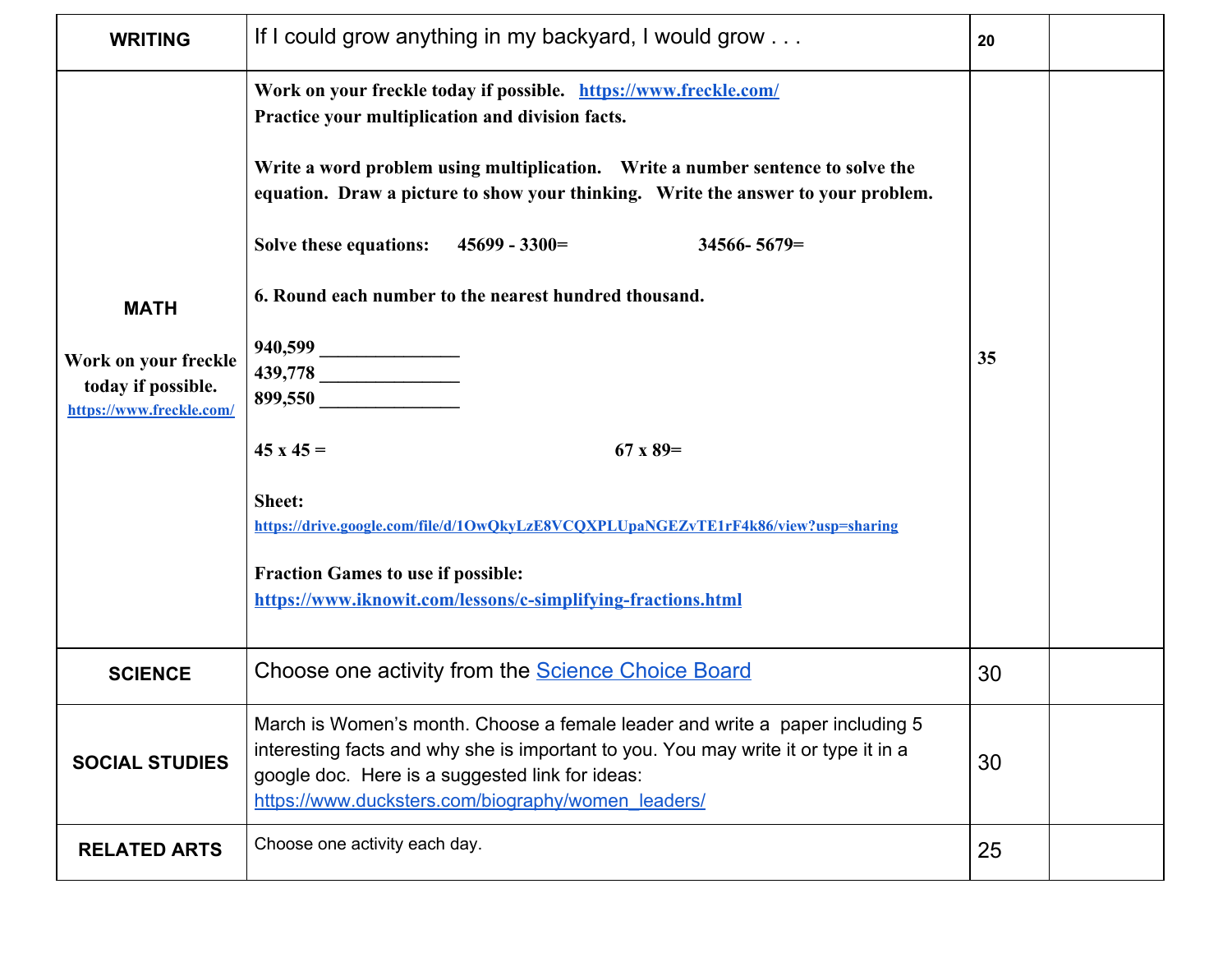| <b>WRITING</b>                                                                        | If I could grow anything in my backyard, I would grow                                                                                                                                                                                                                                                                                                                                                                                                                                                                                                                                                                                                                            | 20 |  |
|---------------------------------------------------------------------------------------|----------------------------------------------------------------------------------------------------------------------------------------------------------------------------------------------------------------------------------------------------------------------------------------------------------------------------------------------------------------------------------------------------------------------------------------------------------------------------------------------------------------------------------------------------------------------------------------------------------------------------------------------------------------------------------|----|--|
| <b>MATH</b><br>Work on your freckle<br>today if possible.<br>https://www.freckle.com/ | Work on your freckle today if possible. https://www.freckle.com/<br>Practice your multiplication and division facts.<br>Write a word problem using multiplication. Write a number sentence to solve the<br>equation. Draw a picture to show your thinking. Write the answer to your problem.<br>Solve these equations: $45699 - 3300 =$<br>$34566 - 5679 =$<br>6. Round each number to the nearest hundred thousand.<br>940,599<br>899,550<br>$45x45 =$<br>67 x 89=<br>Sheet:<br>https://drive.google.com/file/d/1OwQkyLzE8VCQXPLUpaNGEZvTE1rF4k86/view?usp=sharing<br><b>Fraction Games to use if possible:</b><br>https://www.iknowit.com/lessons/c-simplifying-fractions.html | 35 |  |
| <b>SCIENCE</b>                                                                        | Choose one activity from the <b>Science Choice Board</b>                                                                                                                                                                                                                                                                                                                                                                                                                                                                                                                                                                                                                         | 30 |  |
| <b>SOCIAL STUDIES</b>                                                                 | March is Women's month. Choose a female leader and write a paper including 5<br>interesting facts and why she is important to you. You may write it or type it in a<br>google doc. Here is a suggested link for ideas:<br>https://www.ducksters.com/biography/women_leaders/                                                                                                                                                                                                                                                                                                                                                                                                     | 30 |  |
| <b>RELATED ARTS</b>                                                                   | Choose one activity each day.                                                                                                                                                                                                                                                                                                                                                                                                                                                                                                                                                                                                                                                    | 25 |  |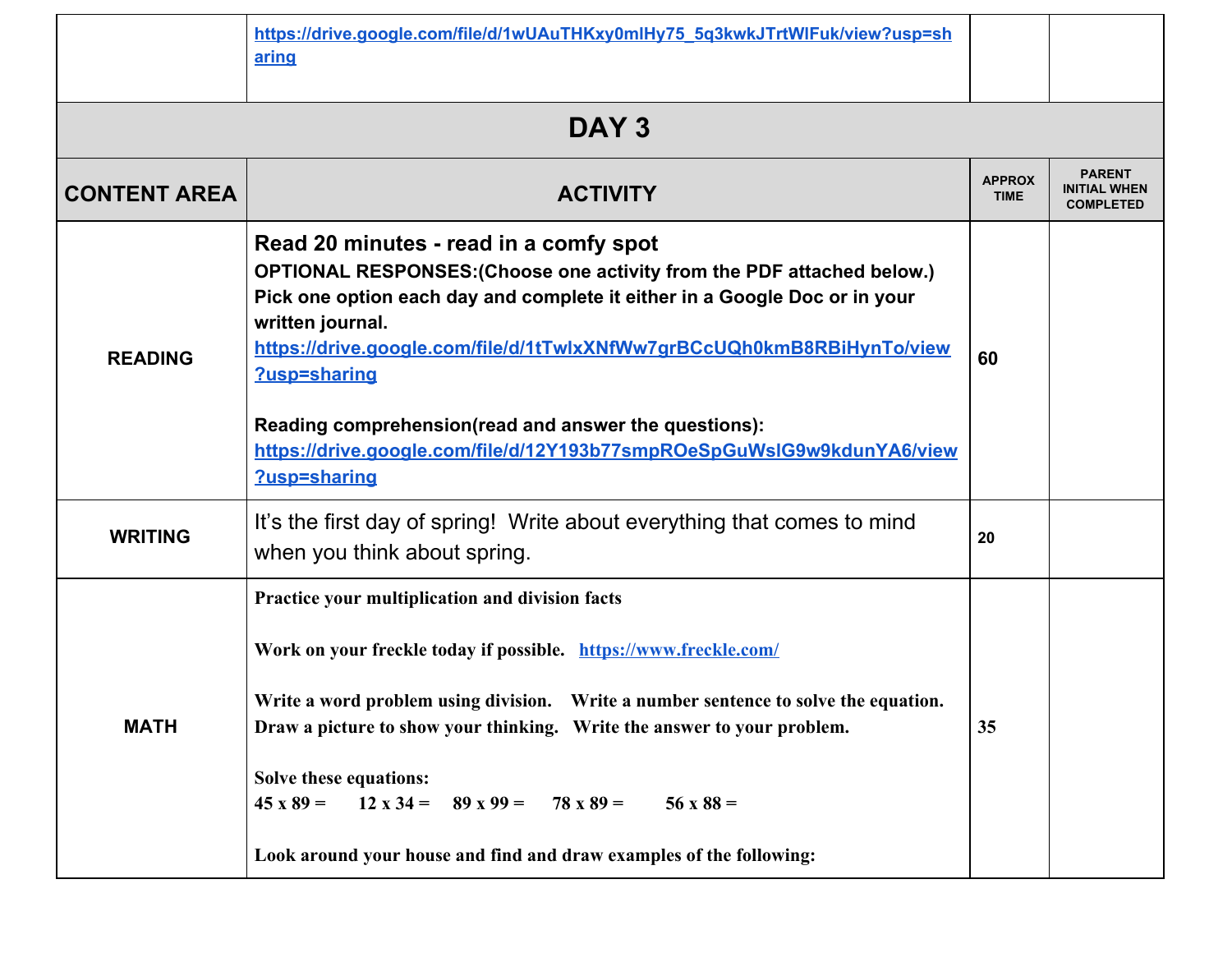|                     | https://drive.google.com/file/d/1wUAuTHKxy0mlHy75_5g3kwkJTrtWlFuk/view?usp=sh<br>aring                                                                                                                                                                                                                                                                                                                                                                                      |                              |                                                          |
|---------------------|-----------------------------------------------------------------------------------------------------------------------------------------------------------------------------------------------------------------------------------------------------------------------------------------------------------------------------------------------------------------------------------------------------------------------------------------------------------------------------|------------------------------|----------------------------------------------------------|
|                     | DAY <sub>3</sub>                                                                                                                                                                                                                                                                                                                                                                                                                                                            |                              |                                                          |
| <b>CONTENT AREA</b> | <b>ACTIVITY</b>                                                                                                                                                                                                                                                                                                                                                                                                                                                             | <b>APPROX</b><br><b>TIME</b> | <b>PARENT</b><br><b>INITIAL WHEN</b><br><b>COMPLETED</b> |
| <b>READING</b>      | Read 20 minutes - read in a comfy spot<br>OPTIONAL RESPONSES: (Choose one activity from the PDF attached below.)<br>Pick one option each day and complete it either in a Google Doc or in your<br>written journal.<br>https://drive.google.com/file/d/1tTwlxXNfWw7grBCcUQh0kmB8RBiHynTo/view<br>?usp=sharing<br>Reading comprehension(read and answer the questions):<br>https://drive.google.com/file/d/12Y193b77smpROeSpGuWsIG9w9kdunYA6/view<br>?usp=sharing             | 60                           |                                                          |
| <b>WRITING</b>      | It's the first day of spring! Write about everything that comes to mind<br>when you think about spring.                                                                                                                                                                                                                                                                                                                                                                     | 20                           |                                                          |
| <b>MATH</b>         | Practice your multiplication and division facts<br>Work on your freckle today if possible. https://www.freckle.com/<br>Write a word problem using division. Write a number sentence to solve the equation.<br>Draw a picture to show your thinking. Write the answer to your problem.<br>Solve these equations:<br>$45 \times 89 = 12 \times 34 = 89 \times 99 = 78 \times 89 =$<br>$56 \times 88 =$<br>Look around your house and find and draw examples of the following: | 35                           |                                                          |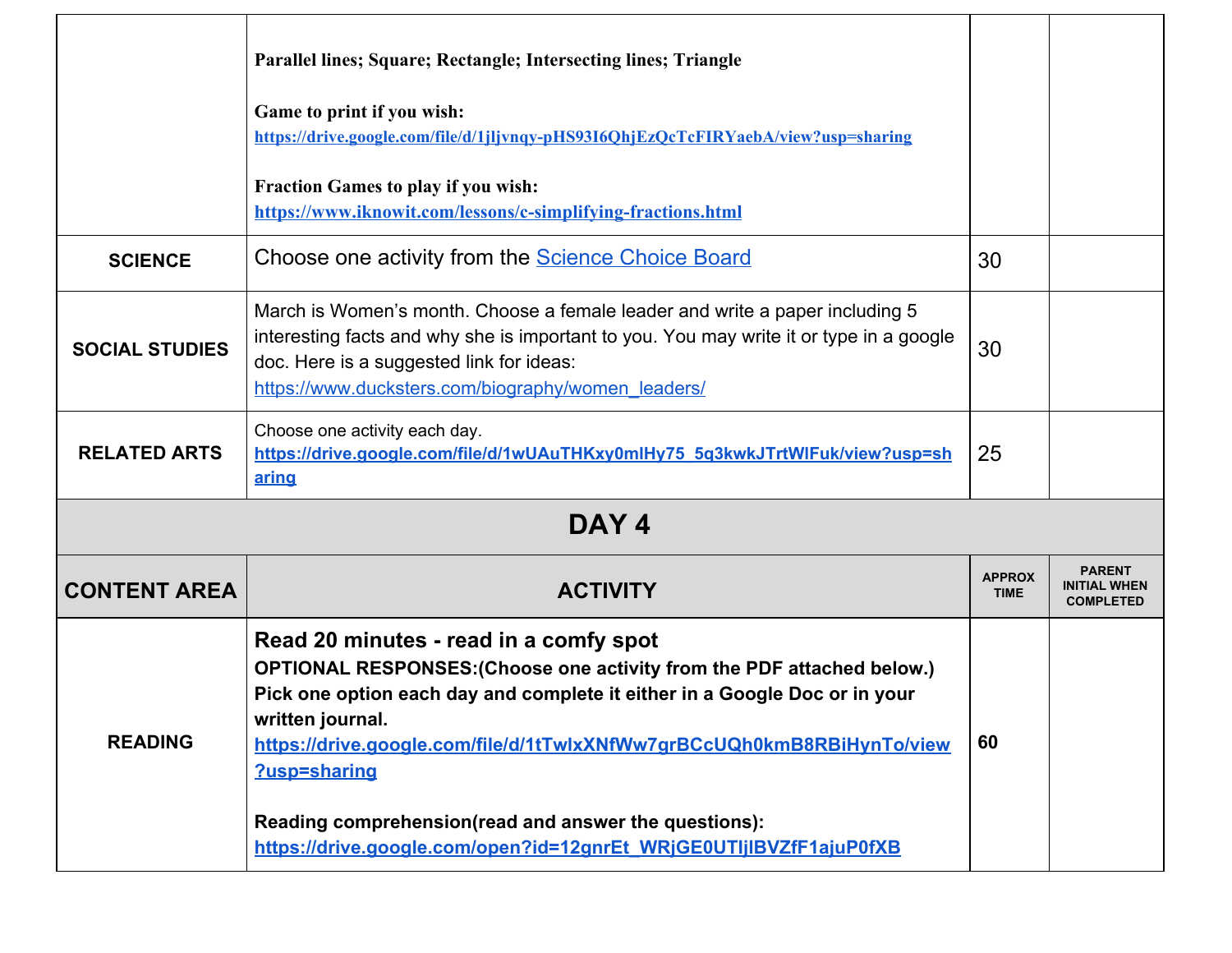|                       | Parallel lines; Square; Rectangle; Intersecting lines; Triangle                                                                                                                                                                                                                                                                                                                                                                             |                              |                                                          |
|-----------------------|---------------------------------------------------------------------------------------------------------------------------------------------------------------------------------------------------------------------------------------------------------------------------------------------------------------------------------------------------------------------------------------------------------------------------------------------|------------------------------|----------------------------------------------------------|
|                       | Game to print if you wish:<br>https://drive.google.com/file/d/1jljvnqy-pHS93I6QhjEzQcTcFIRYaebA/view?usp=sharing                                                                                                                                                                                                                                                                                                                            |                              |                                                          |
|                       | <b>Fraction Games to play if you wish:</b><br>https://www.iknowit.com/lessons/c-simplifying-fractions.html                                                                                                                                                                                                                                                                                                                                  |                              |                                                          |
| <b>SCIENCE</b>        | Choose one activity from the <b>Science Choice Board</b>                                                                                                                                                                                                                                                                                                                                                                                    | 30                           |                                                          |
| <b>SOCIAL STUDIES</b> | March is Women's month. Choose a female leader and write a paper including 5<br>interesting facts and why she is important to you. You may write it or type in a google<br>doc. Here is a suggested link for ideas:<br>https://www.ducksters.com/biography/women_leaders/                                                                                                                                                                   | 30                           |                                                          |
| <b>RELATED ARTS</b>   | Choose one activity each day.<br>https://drive.google.com/file/d/1wUAuTHKxy0mlHy75_5q3kwkJTrtWlFuk/view?usp=sh<br>aring                                                                                                                                                                                                                                                                                                                     | 25                           |                                                          |
|                       | DAY <sub>4</sub>                                                                                                                                                                                                                                                                                                                                                                                                                            |                              |                                                          |
| <b>CONTENT AREA</b>   | <b>ACTIVITY</b>                                                                                                                                                                                                                                                                                                                                                                                                                             | <b>APPROX</b><br><b>TIME</b> | <b>PARENT</b><br><b>INITIAL WHEN</b><br><b>COMPLETED</b> |
| <b>READING</b>        | Read 20 minutes - read in a comfy spot<br>OPTIONAL RESPONSES: (Choose one activity from the PDF attached below.)<br>Pick one option each day and complete it either in a Google Doc or in your<br>written journal.<br>https://drive.google.com/file/d/1tTwlxXNfWw7grBCcUQh0kmB8RBiHynTo/view<br>?usp=sharing<br>Reading comprehension(read and answer the questions):<br>https://drive.google.com/open?id=12gnrEt_WRjGE0UTIjIBVZfF1ajuP0fXB | 60                           |                                                          |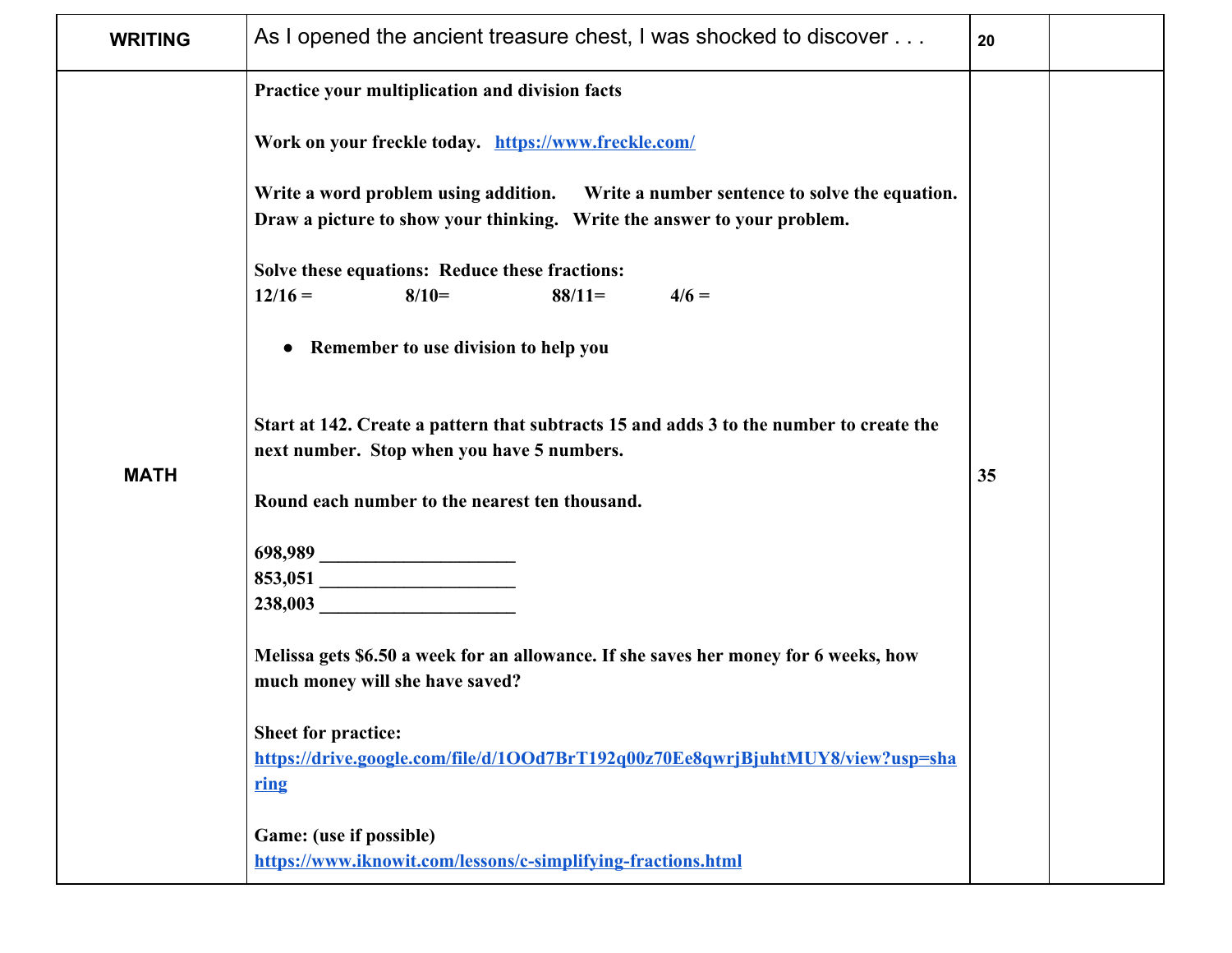| <b>WRITING</b> | As I opened the ancient treasure chest, I was shocked to discover                                                                                                                                                                                                                                                                                                                                                                                                                                                                                                                                                                                                                                                                                                                                                                                                                                                                                                                   | 20 |  |
|----------------|-------------------------------------------------------------------------------------------------------------------------------------------------------------------------------------------------------------------------------------------------------------------------------------------------------------------------------------------------------------------------------------------------------------------------------------------------------------------------------------------------------------------------------------------------------------------------------------------------------------------------------------------------------------------------------------------------------------------------------------------------------------------------------------------------------------------------------------------------------------------------------------------------------------------------------------------------------------------------------------|----|--|
| <b>MATH</b>    | Practice your multiplication and division facts<br>Work on your freckle today. https://www.freckle.com/<br>Write a word problem using addition. Write a number sentence to solve the equation.<br>Draw a picture to show your thinking. Write the answer to your problem.<br>Solve these equations: Reduce these fractions:<br>$12/16 =$<br>$8/10=$<br>$88/11=$<br>$4/6 =$<br>Remember to use division to help you<br>$\bullet$<br>Start at 142. Create a pattern that subtracts 15 and adds 3 to the number to create the<br>next number. Stop when you have 5 numbers.<br>Round each number to the nearest ten thousand.<br>238,003<br>Melissa gets \$6.50 a week for an allowance. If she saves her money for 6 weeks, how<br>much money will she have saved?<br><b>Sheet for practice:</b><br>https://drive.google.com/file/d/1OOd7BrT192q00z70Ee8qwrjBjuhtMUY8/view?usp=sha<br>ring<br>Game: (use if possible)<br>https://www.iknowit.com/lessons/c-simplifying-fractions.html | 35 |  |
|                |                                                                                                                                                                                                                                                                                                                                                                                                                                                                                                                                                                                                                                                                                                                                                                                                                                                                                                                                                                                     |    |  |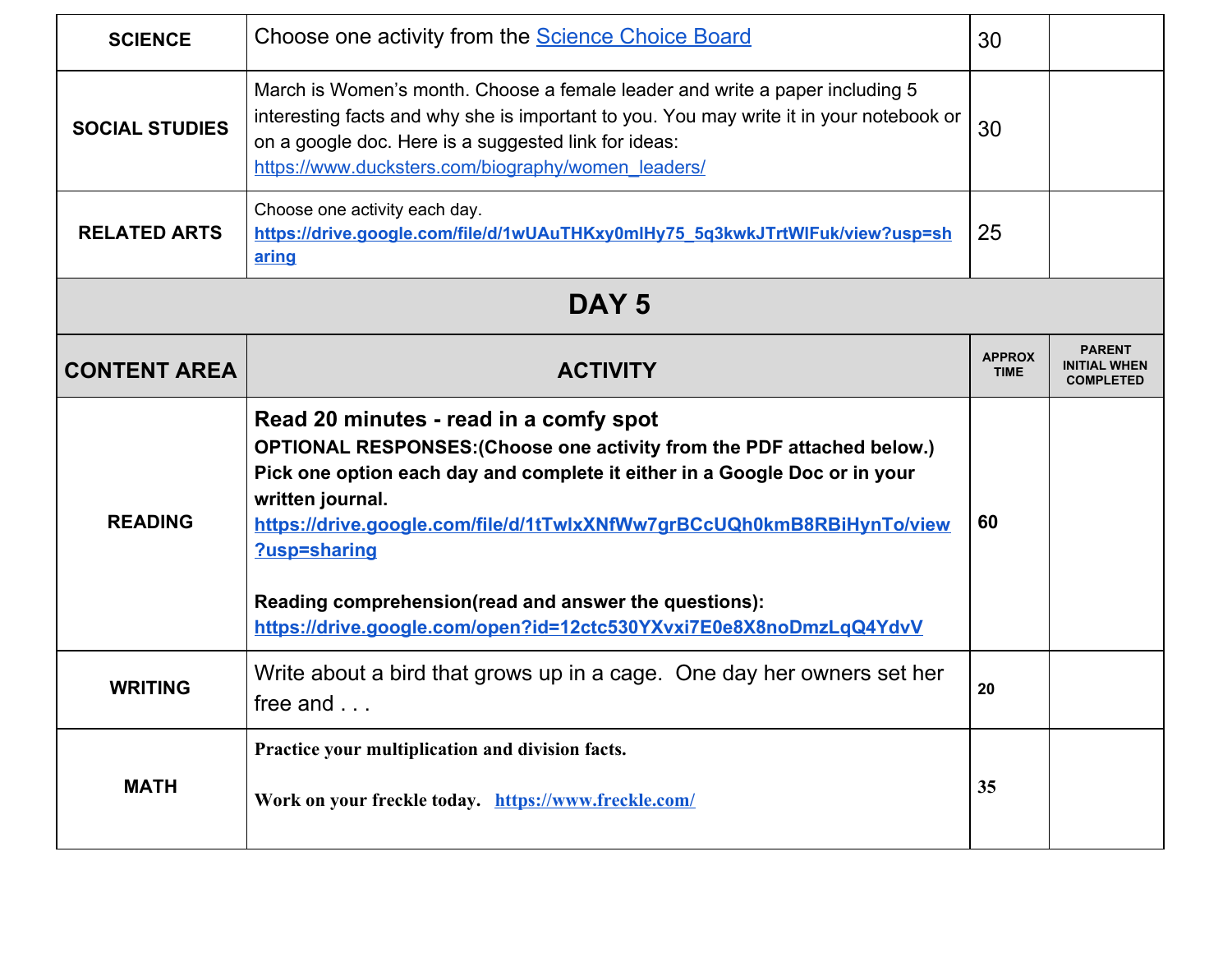| <b>SCIENCE</b>        | Choose one activity from the <b>Science Choice Board</b>                                                                                                                                                                                                                                                                                                                                                                                    | 30                           |                                                          |
|-----------------------|---------------------------------------------------------------------------------------------------------------------------------------------------------------------------------------------------------------------------------------------------------------------------------------------------------------------------------------------------------------------------------------------------------------------------------------------|------------------------------|----------------------------------------------------------|
| <b>SOCIAL STUDIES</b> | March is Women's month. Choose a female leader and write a paper including 5<br>interesting facts and why she is important to you. You may write it in your notebook or<br>on a google doc. Here is a suggested link for ideas:<br>https://www.ducksters.com/biography/women_leaders/                                                                                                                                                       | 30                           |                                                          |
| <b>RELATED ARTS</b>   | Choose one activity each day.<br>https://drive.google.com/file/d/1wUAuTHKxy0mlHy75_5q3kwkJTrtWlFuk/view?usp=sh<br>aring                                                                                                                                                                                                                                                                                                                     | 25                           |                                                          |
|                       | DAY <sub>5</sub>                                                                                                                                                                                                                                                                                                                                                                                                                            |                              |                                                          |
| <b>CONTENT AREA</b>   | <b>ACTIVITY</b>                                                                                                                                                                                                                                                                                                                                                                                                                             | <b>APPROX</b><br><b>TIME</b> | <b>PARENT</b><br><b>INITIAL WHEN</b><br><b>COMPLETED</b> |
| <b>READING</b>        | Read 20 minutes - read in a comfy spot<br>OPTIONAL RESPONSES: (Choose one activity from the PDF attached below.)<br>Pick one option each day and complete it either in a Google Doc or in your<br>written journal.<br>https://drive.google.com/file/d/1tTwlxXNfWw7grBCcUQh0kmB8RBiHynTo/view<br>?usp=sharing<br>Reading comprehension(read and answer the questions):<br>https://drive.google.com/open?id=12ctc530YXvxi7E0e8X8noDmzLqQ4YdvV | 60                           |                                                          |
| <b>WRITING</b>        | Write about a bird that grows up in a cage. One day her owners set her<br>free and                                                                                                                                                                                                                                                                                                                                                          | 20                           |                                                          |
| <b>MATH</b>           | Practice your multiplication and division facts.<br>Work on your freckle today. https://www.freckle.com/                                                                                                                                                                                                                                                                                                                                    | 35                           |                                                          |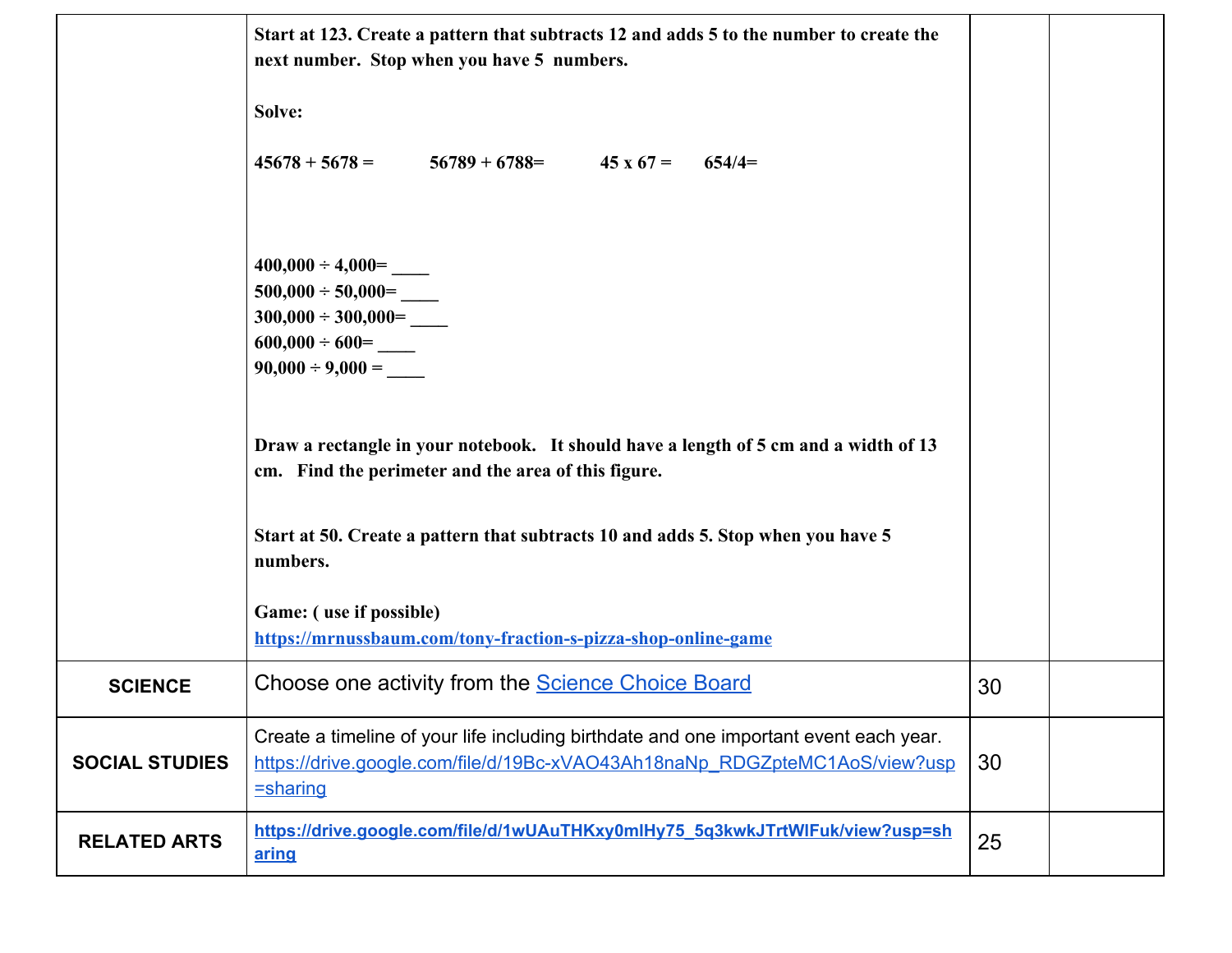|                       | Start at 123. Create a pattern that subtracts 12 and adds 5 to the number to create the<br>next number. Stop when you have 5 numbers.                                                  |    |  |
|-----------------------|----------------------------------------------------------------------------------------------------------------------------------------------------------------------------------------|----|--|
|                       | Solve:                                                                                                                                                                                 |    |  |
|                       | $45678 + 5678 =$<br>$56789 + 6788 =$ 45 x 67 =<br>$654/4=$                                                                                                                             |    |  |
|                       |                                                                                                                                                                                        |    |  |
|                       | $400,000 \div 4,000 =$<br>$500,000 \div 50,000 =$                                                                                                                                      |    |  |
|                       |                                                                                                                                                                                        |    |  |
|                       | $600,000 \div 600 =$<br>$90,000 \div 9,000 =$                                                                                                                                          |    |  |
|                       | Draw a rectangle in your notebook. It should have a length of 5 cm and a width of 13<br>cm. Find the perimeter and the area of this figure.                                            |    |  |
|                       | Start at 50. Create a pattern that subtracts 10 and adds 5. Stop when you have 5<br>numbers.                                                                                           |    |  |
|                       | Game: (use if possible)<br>https://mrnussbaum.com/tony-fraction-s-pizza-shop-online-game                                                                                               |    |  |
| <b>SCIENCE</b>        | Choose one activity from the <b>Science Choice Board</b>                                                                                                                               | 30 |  |
| <b>SOCIAL STUDIES</b> | Create a timeline of your life including birthdate and one important event each year.<br>https://drive.google.com/file/d/19Bc-xVAO43Ah18naNp_RDGZpteMC1AoS/view?usp<br><b>=sharing</b> | 30 |  |
| <b>RELATED ARTS</b>   | https://drive.google.com/file/d/1wUAuTHKxy0mlHy75_5g3kwkJTrtWlFuk/view?usp=sh<br>aring                                                                                                 | 25 |  |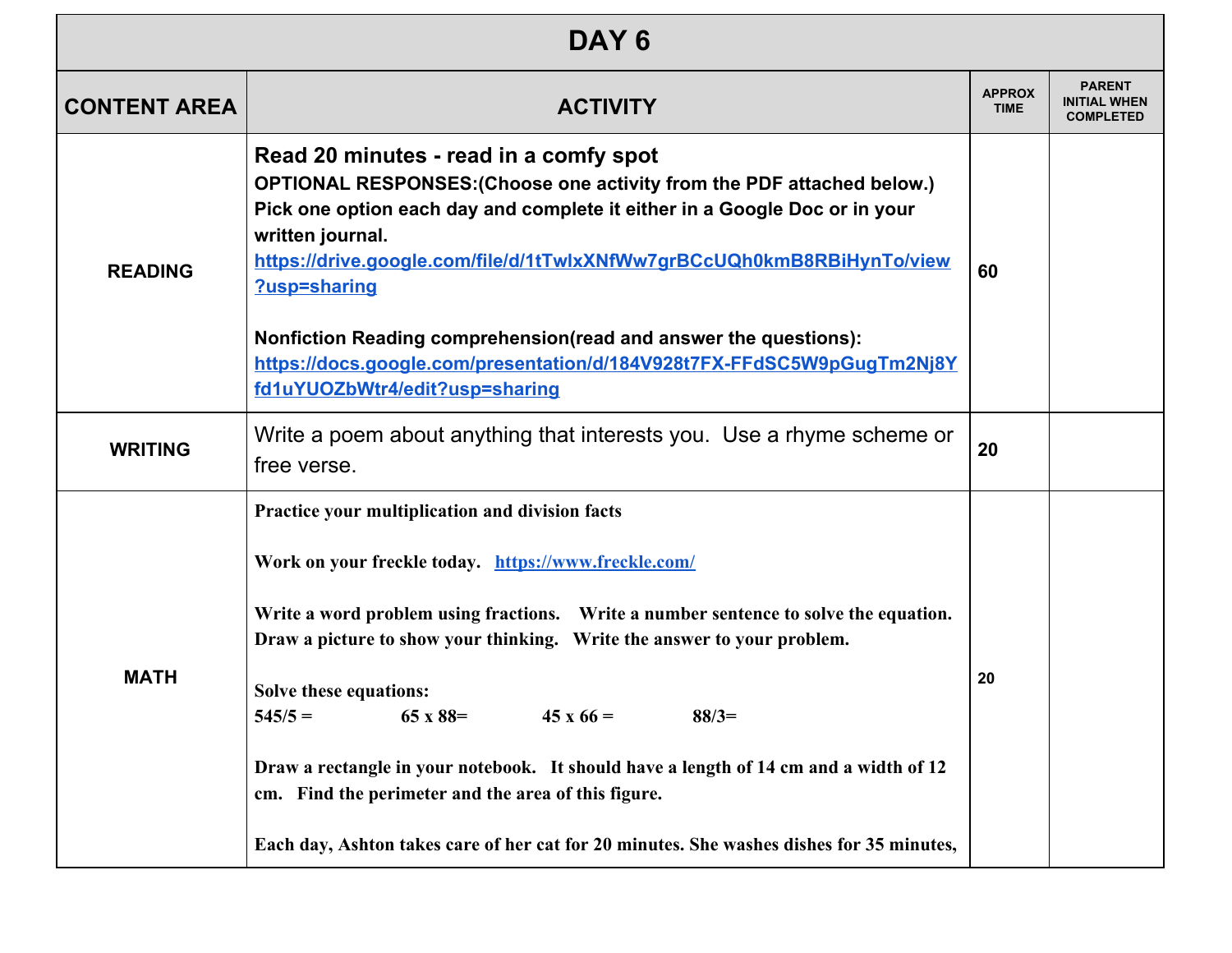| DAY <sub>6</sub>    |                                                                                                                                                                                                                                                                                                                                                                                                                                                                                                                                                                                                          |                              |                                                          |  |
|---------------------|----------------------------------------------------------------------------------------------------------------------------------------------------------------------------------------------------------------------------------------------------------------------------------------------------------------------------------------------------------------------------------------------------------------------------------------------------------------------------------------------------------------------------------------------------------------------------------------------------------|------------------------------|----------------------------------------------------------|--|
| <b>CONTENT AREA</b> | <b>ACTIVITY</b>                                                                                                                                                                                                                                                                                                                                                                                                                                                                                                                                                                                          | <b>APPROX</b><br><b>TIME</b> | <b>PARENT</b><br><b>INITIAL WHEN</b><br><b>COMPLETED</b> |  |
| <b>READING</b>      | Read 20 minutes - read in a comfy spot<br>OPTIONAL RESPONSES: (Choose one activity from the PDF attached below.)<br>Pick one option each day and complete it either in a Google Doc or in your<br>written journal.<br>https://drive.google.com/file/d/1tTwlxXNfWw7grBCcUQh0kmB8RBiHynTo/view<br>?usp=sharing<br>Nonfiction Reading comprehension(read and answer the questions):<br>https://docs.google.com/presentation/d/184V928t7FX-FFdSC5W9pGugTm2Nj8Y<br>fd1uYUOZbWtr4/edit?usp=sharing                                                                                                             | 60                           |                                                          |  |
| <b>WRITING</b>      | Write a poem about anything that interests you. Use a rhyme scheme or<br>free verse.                                                                                                                                                                                                                                                                                                                                                                                                                                                                                                                     | 20                           |                                                          |  |
| <b>MATH</b>         | Practice your multiplication and division facts<br>Work on your freckle today. https://www.freckle.com/<br>Write a word problem using fractions. Write a number sentence to solve the equation.<br>Draw a picture to show your thinking. Write the answer to your problem.<br>Solve these equations:<br>65 x 88=<br>$88/3=$<br>$545/5 =$<br>$45 \times 66 =$<br>Draw a rectangle in your notebook. It should have a length of 14 cm and a width of 12<br>cm. Find the perimeter and the area of this figure.<br>Each day, Ashton takes care of her cat for 20 minutes. She washes dishes for 35 minutes, | 20                           |                                                          |  |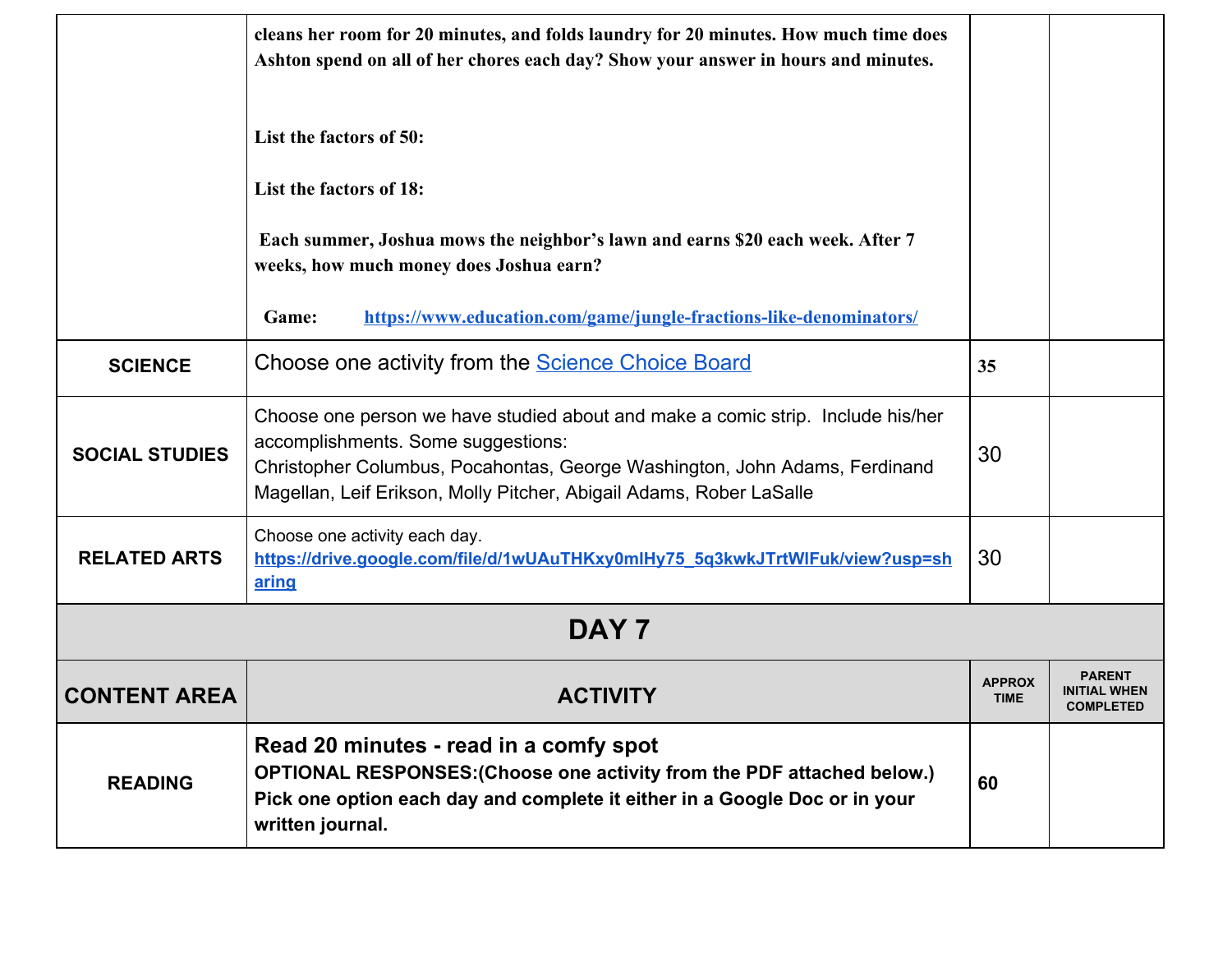|                       | cleans her room for 20 minutes, and folds laundry for 20 minutes. How much time does<br>Ashton spend on all of her chores each day? Show your answer in hours and minutes.<br>List the factors of 50:                                                                      |                              |                                                          |
|-----------------------|----------------------------------------------------------------------------------------------------------------------------------------------------------------------------------------------------------------------------------------------------------------------------|------------------------------|----------------------------------------------------------|
|                       | List the factors of 18:<br>Each summer, Joshua mows the neighbor's lawn and earns \$20 each week. After 7<br>weeks, how much money does Joshua earn?<br>https://www.education.com/game/jungle-fractions-like-denominators/<br>Game:                                        |                              |                                                          |
| <b>SCIENCE</b>        | Choose one activity from the <b>Science Choice Board</b>                                                                                                                                                                                                                   | 35                           |                                                          |
| <b>SOCIAL STUDIES</b> | Choose one person we have studied about and make a comic strip. Include his/her<br>accomplishments. Some suggestions:<br>Christopher Columbus, Pocahontas, George Washington, John Adams, Ferdinand<br>Magellan, Leif Erikson, Molly Pitcher, Abigail Adams, Rober LaSalle | 30                           |                                                          |
| <b>RELATED ARTS</b>   | Choose one activity each day.<br>https://drive.google.com/file/d/1wUAuTHKxy0mlHy75_5g3kwkJTrtWlFuk/view?usp=sh<br>aring                                                                                                                                                    | 30                           |                                                          |
|                       | DAY <sub>7</sub>                                                                                                                                                                                                                                                           |                              |                                                          |
| <b>CONTENT AREA</b>   | <b>ACTIVITY</b>                                                                                                                                                                                                                                                            | <b>APPROX</b><br><b>TIME</b> | <b>PARENT</b><br><b>INITIAL WHEN</b><br><b>COMPLETED</b> |
| <b>READING</b>        | Read 20 minutes - read in a comfy spot<br>OPTIONAL RESPONSES: (Choose one activity from the PDF attached below.)<br>Pick one option each day and complete it either in a Google Doc or in your<br>written journal.                                                         | 60                           |                                                          |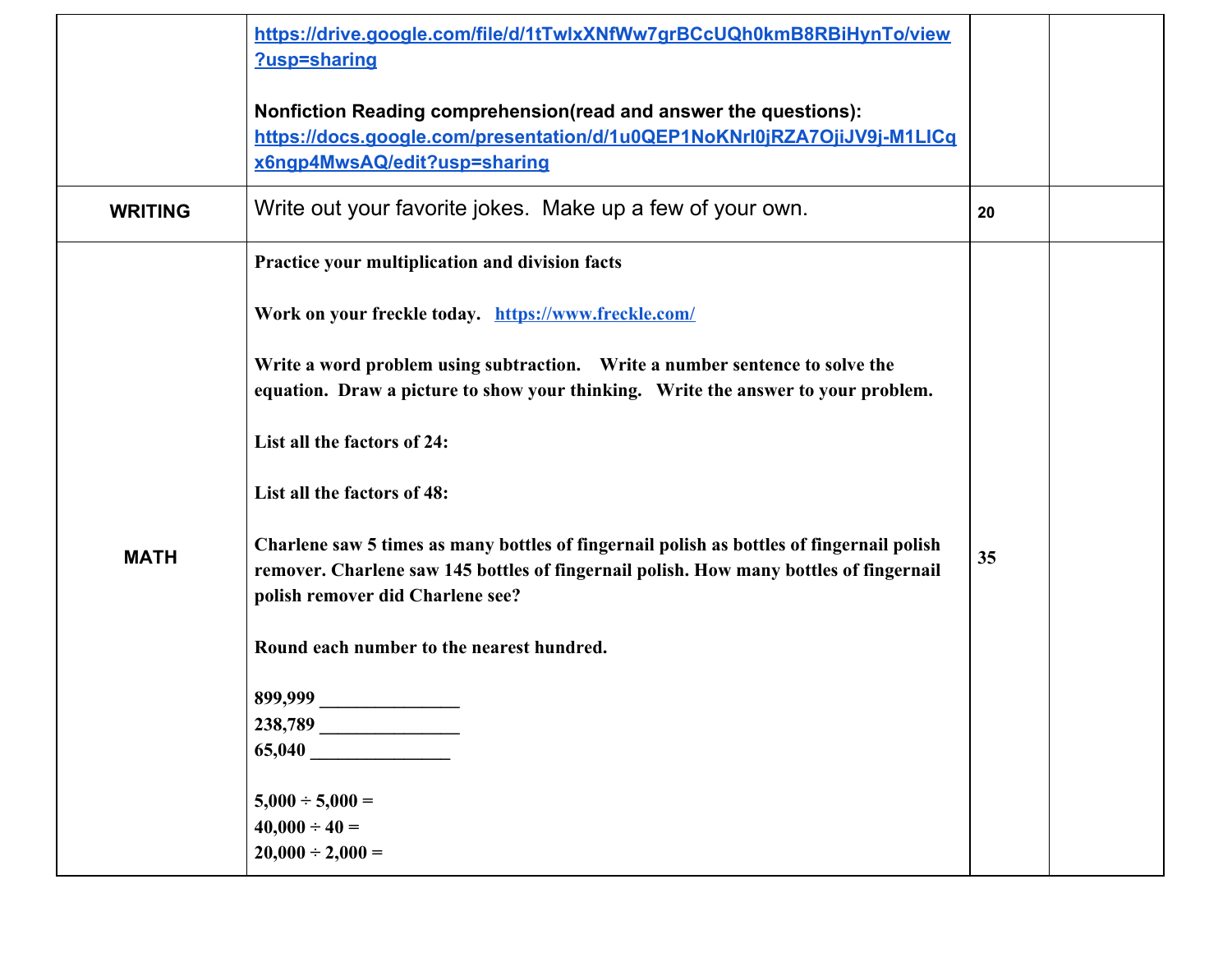|                | https://drive.google.com/file/d/1tTwlxXNfWw7grBCcUQh0kmB8RBiHynTo/view<br>?usp=sharing                                                                                                                                  |    |  |
|----------------|-------------------------------------------------------------------------------------------------------------------------------------------------------------------------------------------------------------------------|----|--|
|                | Nonfiction Reading comprehension(read and answer the questions):<br>https://docs.google.com/presentation/d/1u0QEP1NoKNrl0jRZA7OjiJV9j-M1LICq<br>x6ngp4MwsAQ/edit?usp=sharing                                            |    |  |
| <b>WRITING</b> | Write out your favorite jokes. Make up a few of your own.                                                                                                                                                               | 20 |  |
|                | Practice your multiplication and division facts                                                                                                                                                                         |    |  |
|                | Work on your freckle today. https://www.freckle.com/                                                                                                                                                                    |    |  |
|                | Write a word problem using subtraction. Write a number sentence to solve the<br>equation. Draw a picture to show your thinking. Write the answer to your problem.                                                       |    |  |
|                | List all the factors of 24:                                                                                                                                                                                             |    |  |
|                | List all the factors of 48:                                                                                                                                                                                             |    |  |
| <b>MATH</b>    | Charlene saw 5 times as many bottles of fingernail polish as bottles of fingernail polish<br>remover. Charlene saw 145 bottles of fingernail polish. How many bottles of fingernail<br>polish remover did Charlene see? | 35 |  |
|                | Round each number to the nearest hundred.                                                                                                                                                                               |    |  |
|                | 899,999                                                                                                                                                                                                                 |    |  |
|                | 238,789<br>$65,040$ $\_$                                                                                                                                                                                                |    |  |
|                | $5,000 \div 5,000 =$                                                                                                                                                                                                    |    |  |
|                | $40,000 \div 40 =$<br>$20,000 \div 2,000 =$                                                                                                                                                                             |    |  |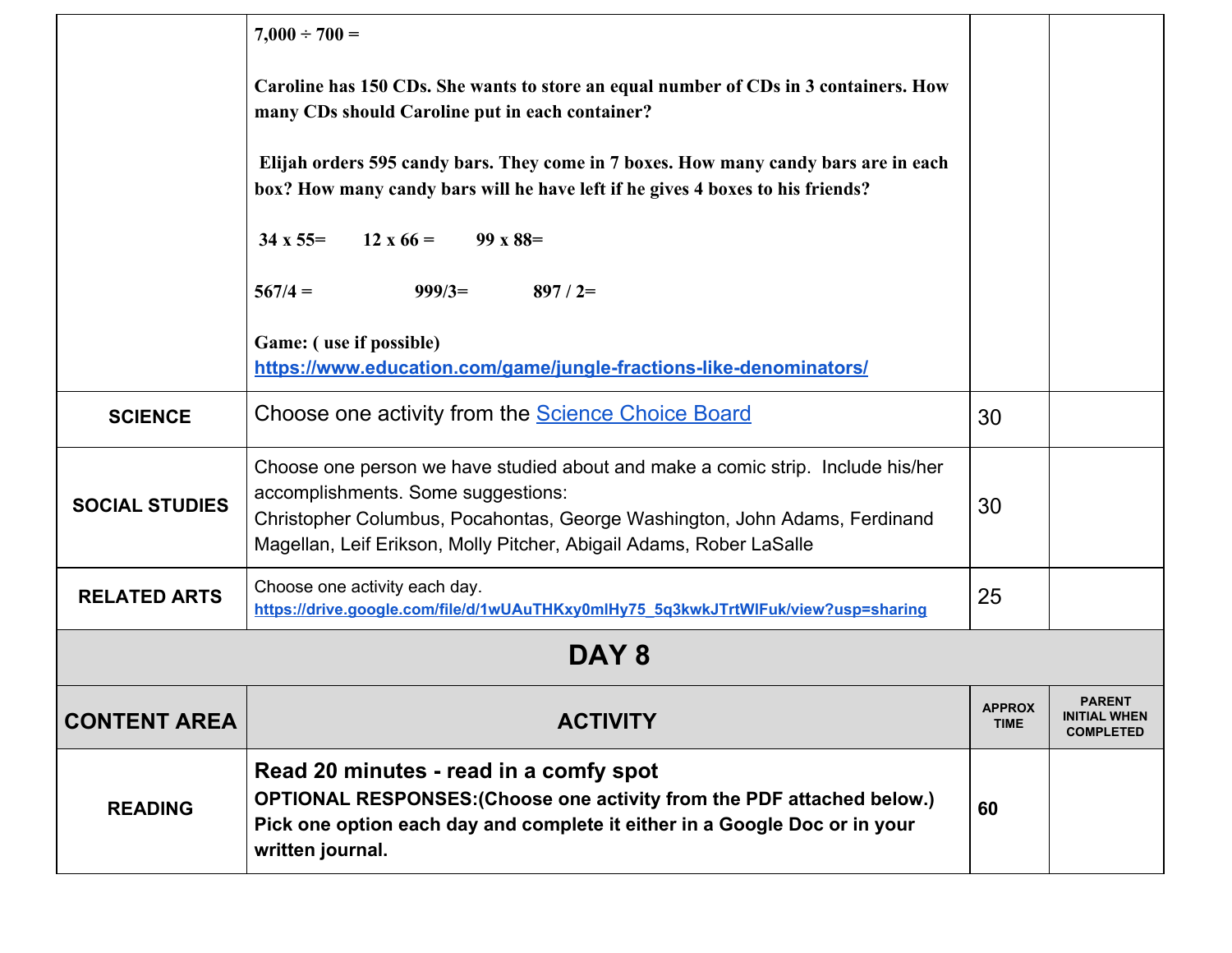|                       | $7,000 \div 700 =$<br>Caroline has 150 CDs. She wants to store an equal number of CDs in 3 containers. How<br>many CDs should Caroline put in each container?<br>Elijah orders 595 candy bars. They come in 7 boxes. How many candy bars are in each<br>box? How many candy bars will he have left if he gives 4 boxes to his friends? |                              |                                                          |
|-----------------------|----------------------------------------------------------------------------------------------------------------------------------------------------------------------------------------------------------------------------------------------------------------------------------------------------------------------------------------|------------------------------|----------------------------------------------------------|
|                       | $34 \times 55 =$<br>$12 \times 66 = 99 \times 88 =$<br>$567/4 =$<br>$999/3=$<br>$897/2=$<br>Game: (use if possible)<br>https://www.education.com/game/jungle-fractions-like-denominators/                                                                                                                                              |                              |                                                          |
| <b>SCIENCE</b>        | Choose one activity from the <b>Science Choice Board</b>                                                                                                                                                                                                                                                                               | 30                           |                                                          |
| <b>SOCIAL STUDIES</b> | Choose one person we have studied about and make a comic strip. Include his/her<br>accomplishments. Some suggestions:<br>Christopher Columbus, Pocahontas, George Washington, John Adams, Ferdinand<br>Magellan, Leif Erikson, Molly Pitcher, Abigail Adams, Rober LaSalle                                                             | 30                           |                                                          |
| <b>RELATED ARTS</b>   | Choose one activity each day.<br>https://drive.google.com/file/d/1wUAuTHKxy0mlHy75_5g3kwkJTrtWlFuk/view?usp=sharing                                                                                                                                                                                                                    | 25                           |                                                          |
| DAY <sub>8</sub>      |                                                                                                                                                                                                                                                                                                                                        |                              |                                                          |
| <b>CONTENT AREA</b>   | <b>ACTIVITY</b>                                                                                                                                                                                                                                                                                                                        | <b>APPROX</b><br><b>TIME</b> | <b>PARENT</b><br><b>INITIAL WHEN</b><br><b>COMPLETED</b> |
| <b>READING</b>        | Read 20 minutes - read in a comfy spot<br>OPTIONAL RESPONSES: (Choose one activity from the PDF attached below.)<br>Pick one option each day and complete it either in a Google Doc or in your<br>written journal.                                                                                                                     | 60                           |                                                          |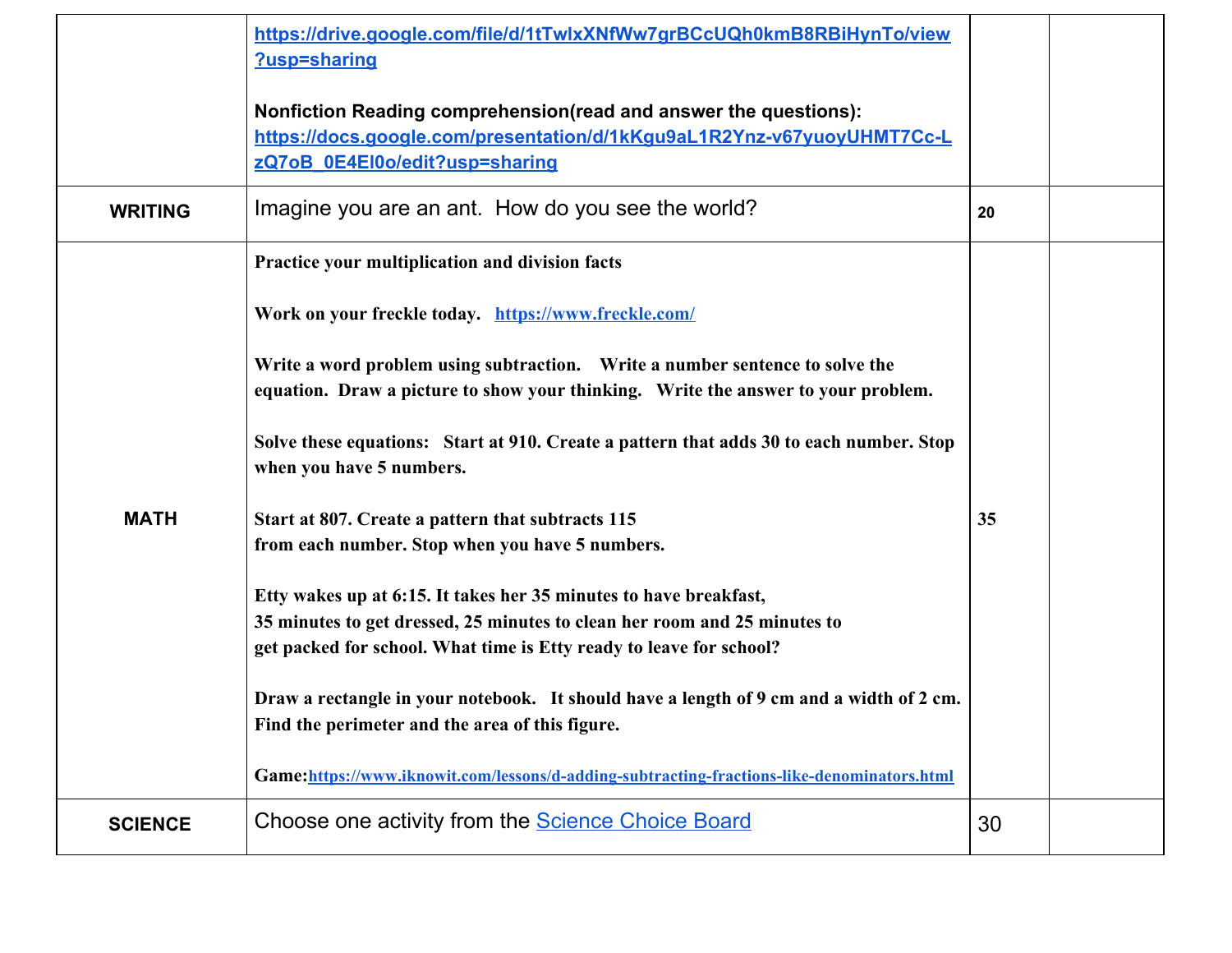|                | https://drive.google.com/file/d/1tTwlxXNfWw7grBCcUQh0kmB8RBiHynTo/view<br>?usp=sharing                                                                                       |    |  |
|----------------|------------------------------------------------------------------------------------------------------------------------------------------------------------------------------|----|--|
|                | Nonfiction Reading comprehension(read and answer the questions):<br>https://docs.google.com/presentation/d/1kKgu9aL1R2Ynz-v67yuoyUHMT7Cc-L<br>zQ7oB_0E4El0o/edit?usp=sharing |    |  |
| <b>WRITING</b> | Imagine you are an ant. How do you see the world?                                                                                                                            | 20 |  |
|                | Practice your multiplication and division facts                                                                                                                              |    |  |
|                | Work on your freckle today. https://www.freckle.com/                                                                                                                         |    |  |
|                | Write a word problem using subtraction. Write a number sentence to solve the<br>equation. Draw a picture to show your thinking. Write the answer to your problem.            |    |  |
|                | Solve these equations: Start at 910. Create a pattern that adds 30 to each number. Stop<br>when you have 5 numbers.                                                          |    |  |
| <b>MATH</b>    | Start at 807. Create a pattern that subtracts 115                                                                                                                            | 35 |  |
|                | from each number. Stop when you have 5 numbers.                                                                                                                              |    |  |
|                | Etty wakes up at 6:15. It takes her 35 minutes to have breakfast,                                                                                                            |    |  |
|                | 35 minutes to get dressed, 25 minutes to clean her room and 25 minutes to                                                                                                    |    |  |
|                | get packed for school. What time is Etty ready to leave for school?                                                                                                          |    |  |
|                | Draw a rectangle in your notebook. It should have a length of 9 cm and a width of 2 cm.                                                                                      |    |  |
|                | Find the perimeter and the area of this figure.                                                                                                                              |    |  |
|                | Game:https://www.iknowit.com/lessons/d-adding-subtracting-fractions-like-denominators.html                                                                                   |    |  |
| <b>SCIENCE</b> | Choose one activity from the <b>Science Choice Board</b>                                                                                                                     | 30 |  |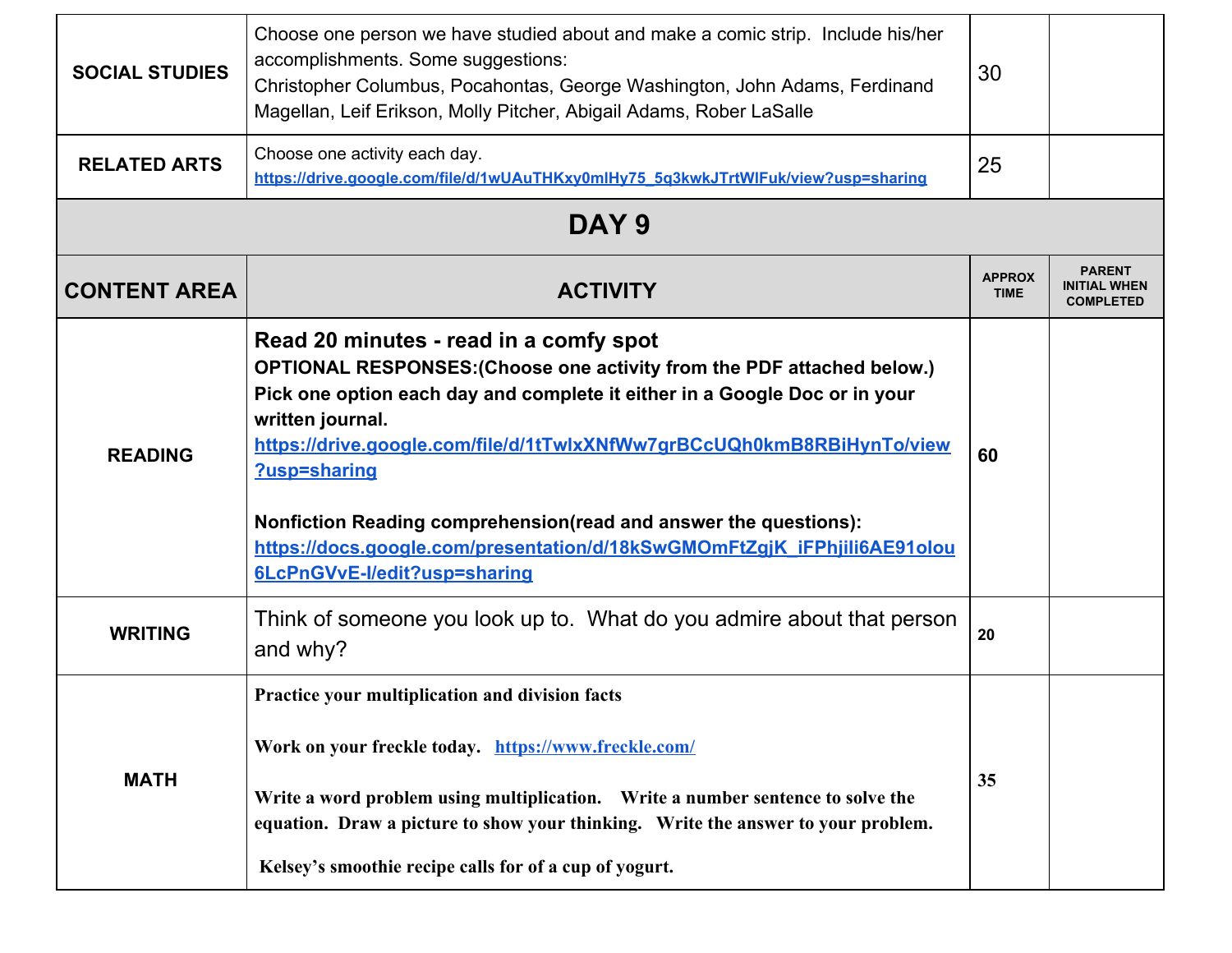| <b>SOCIAL STUDIES</b> | Choose one person we have studied about and make a comic strip. Include his/her<br>accomplishments. Some suggestions:<br>Christopher Columbus, Pocahontas, George Washington, John Adams, Ferdinand<br>Magellan, Leif Erikson, Molly Pitcher, Abigail Adams, Rober LaSalle                                                                                                                                                                                                                   | 30                           |                                                          |
|-----------------------|----------------------------------------------------------------------------------------------------------------------------------------------------------------------------------------------------------------------------------------------------------------------------------------------------------------------------------------------------------------------------------------------------------------------------------------------------------------------------------------------|------------------------------|----------------------------------------------------------|
| <b>RELATED ARTS</b>   | Choose one activity each day.<br>https://drive.google.com/file/d/1wUAuTHKxy0mlHy75_5q3kwkJTrtWlFuk/view?usp=sharing                                                                                                                                                                                                                                                                                                                                                                          | 25                           |                                                          |
|                       | DAY <sub>9</sub>                                                                                                                                                                                                                                                                                                                                                                                                                                                                             |                              |                                                          |
| <b>CONTENT AREA</b>   | <b>ACTIVITY</b>                                                                                                                                                                                                                                                                                                                                                                                                                                                                              | <b>APPROX</b><br><b>TIME</b> | <b>PARENT</b><br><b>INITIAL WHEN</b><br><b>COMPLETED</b> |
| <b>READING</b>        | Read 20 minutes - read in a comfy spot<br>OPTIONAL RESPONSES: (Choose one activity from the PDF attached below.)<br>Pick one option each day and complete it either in a Google Doc or in your<br>written journal.<br>https://drive.google.com/file/d/1tTwlxXNfWw7grBCcUQh0kmB8RBiHynTo/view<br>?usp=sharing<br>Nonfiction Reading comprehension(read and answer the questions):<br>https://docs.google.com/presentation/d/18kSwGMOmFtZgjK_iFPhjili6AE91olou<br>6LcPnGVvE-I/edit?usp=sharing | 60                           |                                                          |
| <b>WRITING</b>        | Think of someone you look up to. What do you admire about that person<br>and why?                                                                                                                                                                                                                                                                                                                                                                                                            | 20                           |                                                          |
| <b>MATH</b>           | Practice your multiplication and division facts<br>Work on your freckle today. https://www.freckle.com/<br>Write a word problem using multiplication. Write a number sentence to solve the<br>equation. Draw a picture to show your thinking. Write the answer to your problem.<br>Kelsey's smoothie recipe calls for of a cup of yogurt.                                                                                                                                                    | 35                           |                                                          |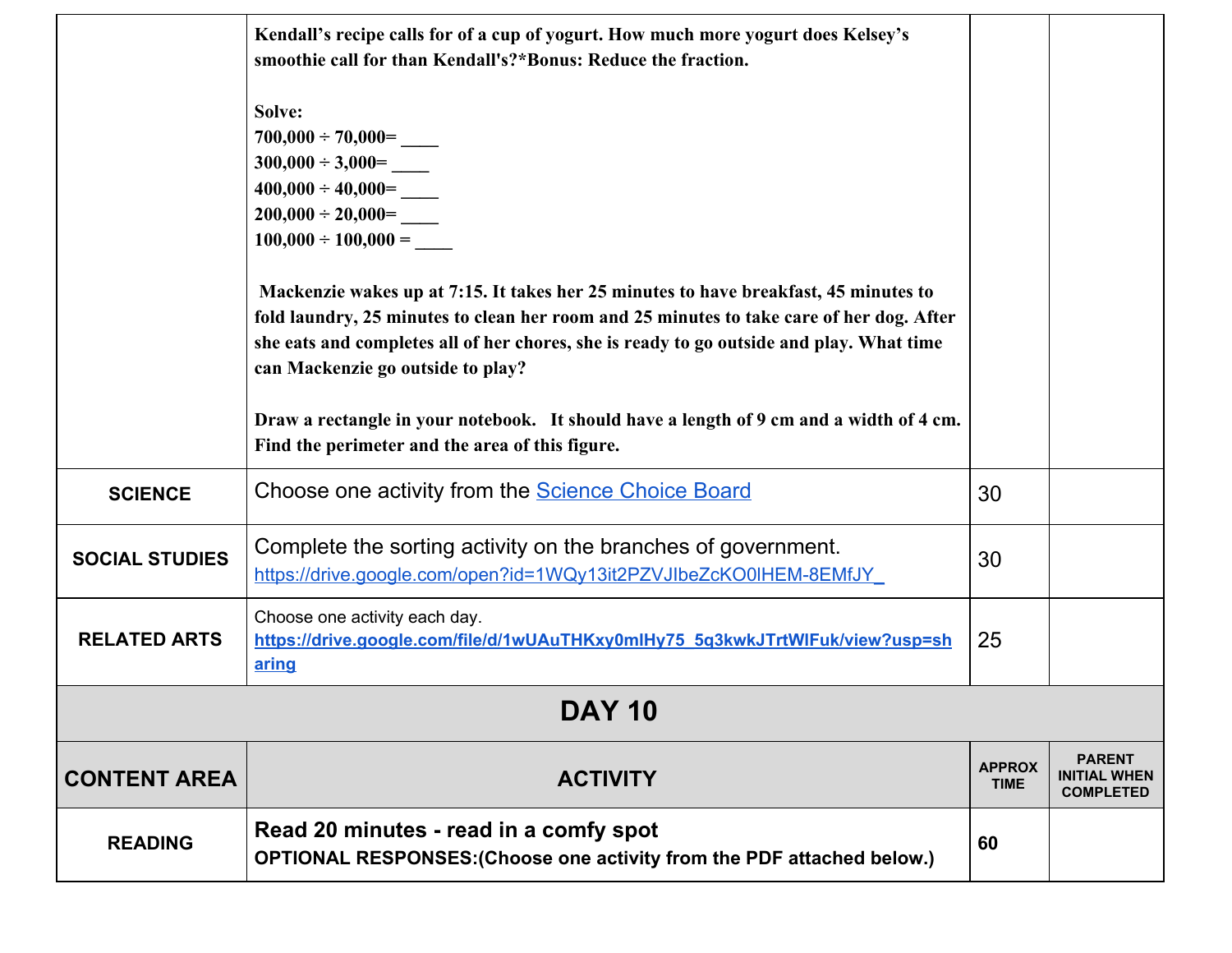|                       | Kendall's recipe calls for of a cup of yogurt. How much more yogurt does Kelsey's<br>smoothie call for than Kendall's?*Bonus: Reduce the fraction.                                                                                                                                                                                                                                                                                                                                                                                                                                    |                              |                                                          |
|-----------------------|---------------------------------------------------------------------------------------------------------------------------------------------------------------------------------------------------------------------------------------------------------------------------------------------------------------------------------------------------------------------------------------------------------------------------------------------------------------------------------------------------------------------------------------------------------------------------------------|------------------------------|----------------------------------------------------------|
|                       | Solve:<br>$300,000 \div 3,000 =$<br>$400,000 \div 40,000 =$<br>$200,000 \div 20,000 =$<br>$100,000 \div 100,000 =$<br>Mackenzie wakes up at 7:15. It takes her 25 minutes to have breakfast, 45 minutes to<br>fold laundry, 25 minutes to clean her room and 25 minutes to take care of her dog. After<br>she eats and completes all of her chores, she is ready to go outside and play. What time<br>can Mackenzie go outside to play?<br>Draw a rectangle in your notebook. It should have a length of 9 cm and a width of 4 cm.<br>Find the perimeter and the area of this figure. |                              |                                                          |
| <b>SCIENCE</b>        | Choose one activity from the <b>Science Choice Board</b>                                                                                                                                                                                                                                                                                                                                                                                                                                                                                                                              | 30                           |                                                          |
| <b>SOCIAL STUDIES</b> | Complete the sorting activity on the branches of government.<br>https://drive.google.com/open?id=1WQy13it2PZVJIbeZcKO0IHEM-8EMfJY                                                                                                                                                                                                                                                                                                                                                                                                                                                     | 30                           |                                                          |
| <b>RELATED ARTS</b>   | Choose one activity each day.<br>https://drive.google.com/file/d/1wUAuTHKxy0mlHy75_5q3kwkJTrtWlFuk/view?usp=sh<br>aring                                                                                                                                                                                                                                                                                                                                                                                                                                                               | 25                           |                                                          |
| <b>DAY 10</b>         |                                                                                                                                                                                                                                                                                                                                                                                                                                                                                                                                                                                       |                              |                                                          |
| <b>CONTENT AREA</b>   | <b>ACTIVITY</b>                                                                                                                                                                                                                                                                                                                                                                                                                                                                                                                                                                       | <b>APPROX</b><br><b>TIME</b> | <b>PARENT</b><br><b>INITIAL WHEN</b><br><b>COMPLETED</b> |
| <b>READING</b>        | Read 20 minutes - read in a comfy spot<br>OPTIONAL RESPONSES: (Choose one activity from the PDF attached below.)                                                                                                                                                                                                                                                                                                                                                                                                                                                                      | 60                           |                                                          |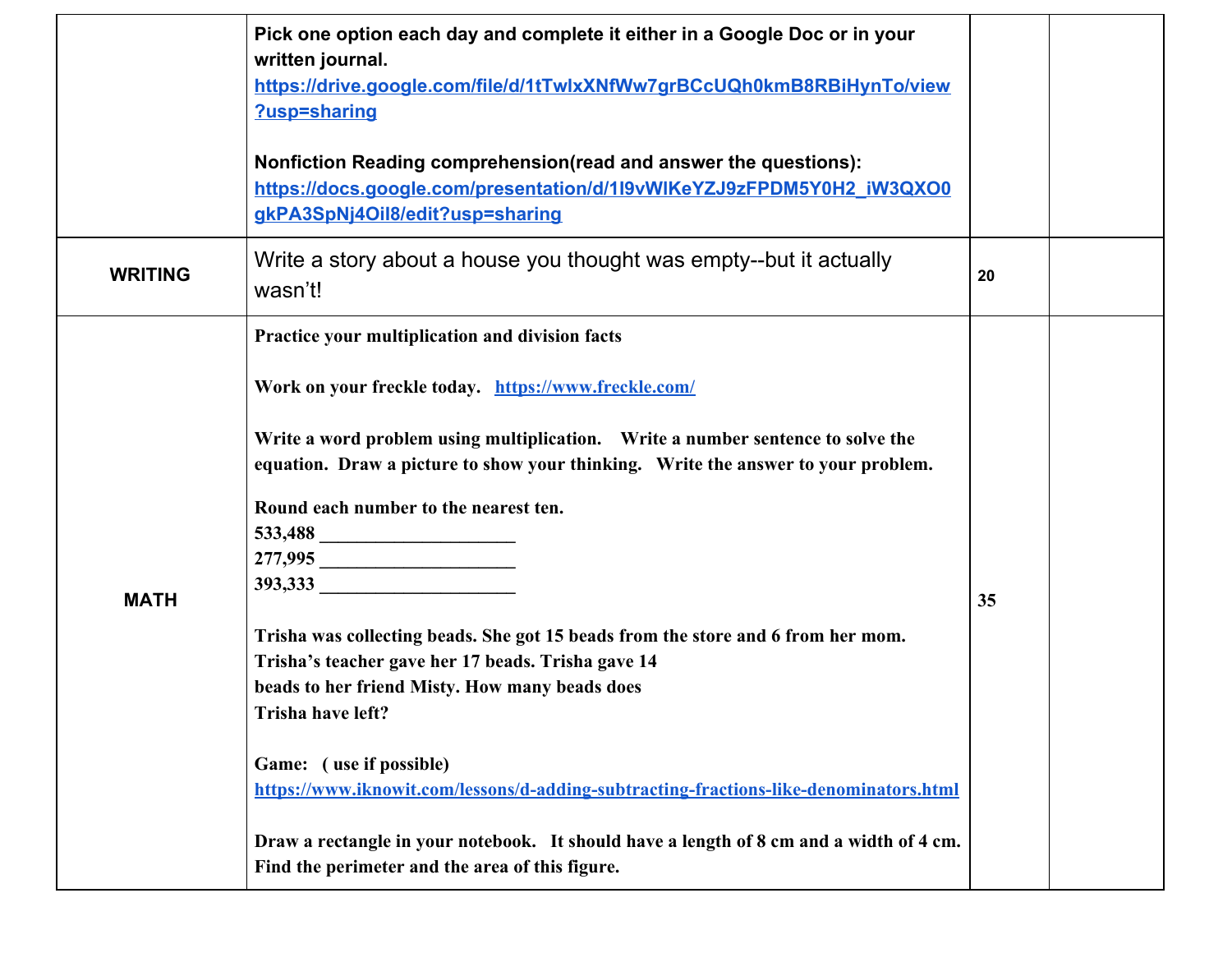|                | Pick one option each day and complete it either in a Google Doc or in your<br>written journal.<br>https://drive.google.com/file/d/1tTwlxXNfWw7grBCcUQh0kmB8RBiHynTo/view<br>?usp=sharing                                                                                                                                                                                                                                                                                                                                                                                                                                                                                                                                                                                                                                       |    |  |
|----------------|--------------------------------------------------------------------------------------------------------------------------------------------------------------------------------------------------------------------------------------------------------------------------------------------------------------------------------------------------------------------------------------------------------------------------------------------------------------------------------------------------------------------------------------------------------------------------------------------------------------------------------------------------------------------------------------------------------------------------------------------------------------------------------------------------------------------------------|----|--|
|                | Nonfiction Reading comprehension(read and answer the questions):<br>https://docs.google.com/presentation/d/1l9vWIKeYZJ9zFPDM5Y0H2_iW3QXO0<br>gkPA3SpNj4Oil8/edit?usp=sharing                                                                                                                                                                                                                                                                                                                                                                                                                                                                                                                                                                                                                                                   |    |  |
| <b>WRITING</b> | Write a story about a house you thought was empty--but it actually<br>wasn't!                                                                                                                                                                                                                                                                                                                                                                                                                                                                                                                                                                                                                                                                                                                                                  | 20 |  |
| <b>MATH</b>    | Practice your multiplication and division facts<br>Work on your freckle today. https://www.freckle.com/<br>Write a word problem using multiplication.  Write a number sentence to solve the<br>equation. Draw a picture to show your thinking. Write the answer to your problem.<br>Round each number to the nearest ten.<br><b>393,333</b><br>Trisha was collecting beads. She got 15 beads from the store and 6 from her mom.<br>Trisha's teacher gave her 17 beads. Trisha gave 14<br>beads to her friend Misty. How many beads does<br>Trisha have left?<br>Game: (use if possible)<br>https://www.iknowit.com/lessons/d-adding-subtracting-fractions-like-denominators.html<br>Draw a rectangle in your notebook. It should have a length of 8 cm and a width of 4 cm.<br>Find the perimeter and the area of this figure. | 35 |  |